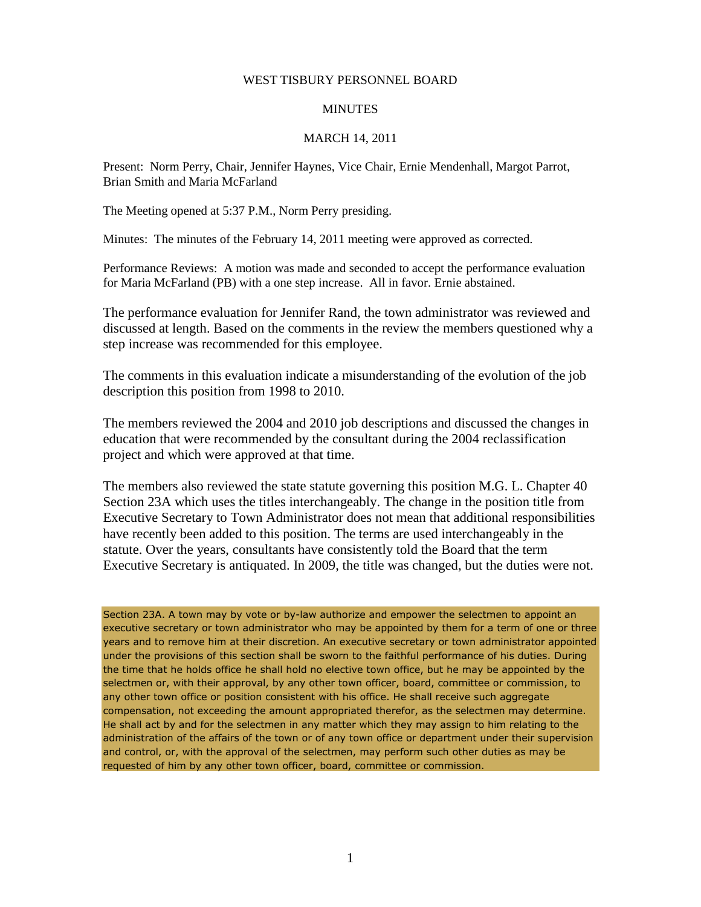## WEST TISBURY PERSONNEL BOARD

## **MINUTES**

## MARCH 14, 2011

Present: Norm Perry, Chair, Jennifer Haynes, Vice Chair, Ernie Mendenhall, Margot Parrot, Brian Smith and Maria McFarland

The Meeting opened at 5:37 P.M., Norm Perry presiding.

Minutes: The minutes of the February 14, 2011 meeting were approved as corrected.

Performance Reviews: A motion was made and seconded to accept the performance evaluation for Maria McFarland (PB) with a one step increase. All in favor. Ernie abstained.

The performance evaluation for Jennifer Rand, the town administrator was reviewed and discussed at length. Based on the comments in the review the members questioned why a step increase was recommended for this employee.

The comments in this evaluation indicate a misunderstanding of the evolution of the job description this position from 1998 to 2010.

The members reviewed the 2004 and 2010 job descriptions and discussed the changes in education that were recommended by the consultant during the 2004 reclassification project and which were approved at that time.

The members also reviewed the state statute governing this position M.G. L. Chapter 40 Section 23A which uses the titles interchangeably. The change in the position title from Executive Secretary to Town Administrator does not mean that additional responsibilities have recently been added to this position. The terms are used interchangeably in the statute. Over the years, consultants have consistently told the Board that the term Executive Secretary is antiquated. In 2009, the title was changed, but the duties were not.

Section 23A. A town may by vote or by-law authorize and empower the selectmen to appoint an executive secretary or town administrator who may be appointed by them for a term of one or three years and to remove him at their discretion. An executive secretary or town administrator appointed under the provisions of this section shall be sworn to the faithful performance of his duties. During the time that he holds office he shall hold no elective town office, but he may be appointed by the selectmen or, with their approval, by any other town officer, board, committee or commission, to any other town office or position consistent with his office. He shall receive such aggregate compensation, not exceeding the amount appropriated therefor, as the selectmen may determine. He shall act by and for the selectmen in any matter which they may assign to him relating to the administration of the affairs of the town or of any town office or department under their supervision and control, or, with the approval of the selectmen, may perform such other duties as may be requested of him by any other town officer, board, committee or commission.